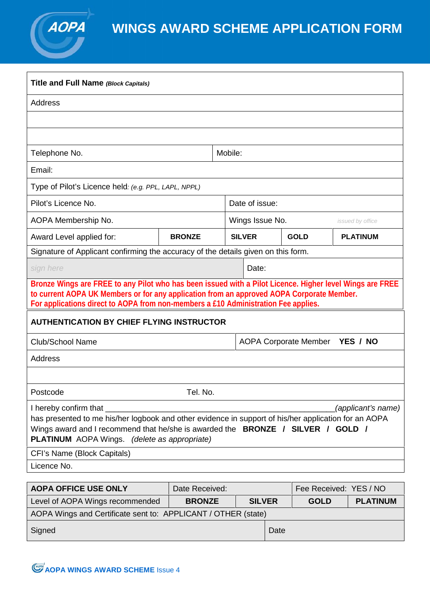

## **WINGS AWARD SCHEME APPLICATION FORM**

| Title and Full Name (Block Capitals)                                                                                                                                                                                                                                                                                                            |                |  |                                |  |                        |                    |  |
|-------------------------------------------------------------------------------------------------------------------------------------------------------------------------------------------------------------------------------------------------------------------------------------------------------------------------------------------------|----------------|--|--------------------------------|--|------------------------|--------------------|--|
| Address                                                                                                                                                                                                                                                                                                                                         |                |  |                                |  |                        |                    |  |
|                                                                                                                                                                                                                                                                                                                                                 |                |  |                                |  |                        |                    |  |
|                                                                                                                                                                                                                                                                                                                                                 |                |  |                                |  |                        |                    |  |
| Telephone No.                                                                                                                                                                                                                                                                                                                                   |                |  | Mobile:                        |  |                        |                    |  |
| Email:                                                                                                                                                                                                                                                                                                                                          |                |  |                                |  |                        |                    |  |
| Type of Pilot's Licence held: (e.g. PPL, LAPL, NPPL)                                                                                                                                                                                                                                                                                            |                |  |                                |  |                        |                    |  |
| Pilot's Licence No.                                                                                                                                                                                                                                                                                                                             |                |  | Date of issue:                 |  |                        |                    |  |
| AOPA Membership No.                                                                                                                                                                                                                                                                                                                             |                |  | Wings Issue No.                |  |                        | issued by office   |  |
| Award Level applied for:                                                                                                                                                                                                                                                                                                                        | <b>BRONZE</b>  |  | <b>SILVER</b>                  |  | <b>GOLD</b>            | <b>PLATINUM</b>    |  |
| Signature of Applicant confirming the accuracy of the details given on this form.                                                                                                                                                                                                                                                               |                |  |                                |  |                        |                    |  |
| sign here<br>Date:                                                                                                                                                                                                                                                                                                                              |                |  |                                |  |                        |                    |  |
| Bronze Wings are FREE to any Pilot who has been issued with a Pilot Licence. Higher level Wings are FREE<br>to current AOPA UK Members or for any application from an approved AOPA Corporate Member.<br>For applications direct to AOPA from non-members a £10 Administration Fee applies.<br><b>AUTHENTICATION BY CHIEF FLYING INSTRUCTOR</b> |                |  |                                |  |                        |                    |  |
|                                                                                                                                                                                                                                                                                                                                                 |                |  |                                |  |                        |                    |  |
| Club/School Name                                                                                                                                                                                                                                                                                                                                |                |  | AOPA Corporate Member YES / NO |  |                        |                    |  |
| Address                                                                                                                                                                                                                                                                                                                                         |                |  |                                |  |                        |                    |  |
|                                                                                                                                                                                                                                                                                                                                                 |                |  |                                |  |                        |                    |  |
| Tel. No.<br>Postcode                                                                                                                                                                                                                                                                                                                            |                |  |                                |  |                        |                    |  |
| I hereby confirm that<br>has presented to me his/her logbook and other evidence in support of his/her application for an AOPA<br>Wings award and I recommend that he/she is awarded the <b>BRONZE</b> / SILVER / GOLD /<br><b>PLATINUM</b> AOPA Wings. (delete as appropriate)                                                                  |                |  |                                |  |                        | (applicant's name) |  |
| CFI's Name (Block Capitals)                                                                                                                                                                                                                                                                                                                     |                |  |                                |  |                        |                    |  |
| Licence No.                                                                                                                                                                                                                                                                                                                                     |                |  |                                |  |                        |                    |  |
| <b>AOPA OFFICE USE ONLY</b>                                                                                                                                                                                                                                                                                                                     | Date Received: |  |                                |  | Fee Received: YES / NO |                    |  |
| Level of AOPA Wings recommended                                                                                                                                                                                                                                                                                                                 | <b>BRONZE</b>  |  | <b>SILVER</b>                  |  | <b>GOLD</b>            | <b>PLATINUM</b>    |  |
| AOPA Wings and Certificate sent to: APPLICANT / OTHER (state)                                                                                                                                                                                                                                                                                   |                |  |                                |  |                        |                    |  |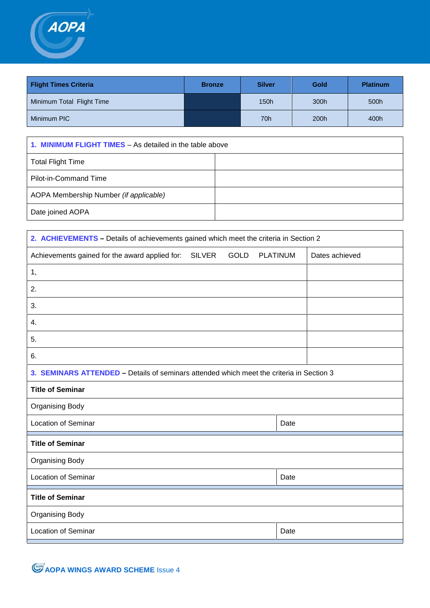| <b>Flight Times Criteria</b> | <b>Bronze</b> | <b>Silver</b> | Gold | <b>Platinum</b> |
|------------------------------|---------------|---------------|------|-----------------|
| Minimum Total Flight Time    |               | 150h          | 300h | 500h            |
| Minimum PIC                  |               | 70h           | 200h | 400h            |

## **1. MINIMUM FLIGHT TIMES** – As detailed in the table above

AOPA

| <b>Total Flight Time</b>               |  |
|----------------------------------------|--|
| <b>Pilot-in-Command Time</b>           |  |
| AOPA Membership Number (if applicable) |  |
| Date joined AOPA                       |  |

| 2. ACHIEVEMENTS - Details of achievements gained which meet the criteria in Section 2    |                                   |  |  |  |  |
|------------------------------------------------------------------------------------------|-----------------------------------|--|--|--|--|
| Achievements gained for the award applied for:<br><b>SILVER</b><br><b>GOLD</b>           | <b>PLATINUM</b><br>Dates achieved |  |  |  |  |
| 1,                                                                                       |                                   |  |  |  |  |
| 2.                                                                                       |                                   |  |  |  |  |
| 3.                                                                                       |                                   |  |  |  |  |
| 4.                                                                                       |                                   |  |  |  |  |
| 5.                                                                                       |                                   |  |  |  |  |
| 6.                                                                                       |                                   |  |  |  |  |
| 3. SEMINARS ATTENDED - Details of seminars attended which meet the criteria in Section 3 |                                   |  |  |  |  |
| <b>Title of Seminar</b>                                                                  |                                   |  |  |  |  |
| <b>Organising Body</b>                                                                   |                                   |  |  |  |  |
| <b>Location of Seminar</b>                                                               | Date                              |  |  |  |  |
| <b>Title of Seminar</b>                                                                  |                                   |  |  |  |  |
| <b>Organising Body</b>                                                                   |                                   |  |  |  |  |
| <b>Location of Seminar</b>                                                               | Date                              |  |  |  |  |
| <b>Title of Seminar</b>                                                                  |                                   |  |  |  |  |
| <b>Organising Body</b>                                                                   |                                   |  |  |  |  |
| <b>Location of Seminar</b>                                                               | Date                              |  |  |  |  |